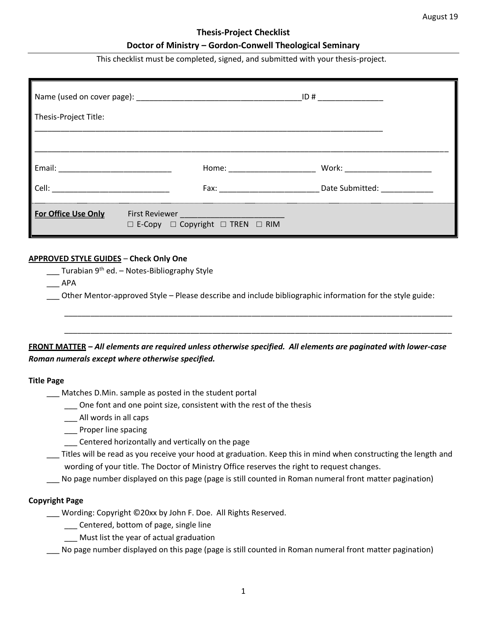#### **Thesis-Project Checklist**

### **Doctor of Ministry – Gordon-Conwell Theological Seminary**

This checklist must be completed, signed, and submitted with your thesis-project.

| Thesis-Project Title:                                                                                           |                                                                                                                                                                                                                                |                                           |  |
|-----------------------------------------------------------------------------------------------------------------|--------------------------------------------------------------------------------------------------------------------------------------------------------------------------------------------------------------------------------|-------------------------------------------|--|
|                                                                                                                 |                                                                                                                                                                                                                                |                                           |  |
| Email: 2008. 2009. 2009. 2010. 2010. 2012. 2012. 2012. 2012. 2013. 2014. 2015. 2016. 2017. 2017. 2017. 2017. 20 | Home: the contract of the contract of the contract of the contract of the contract of the contract of the contract of the contract of the contract of the contract of the contract of the contract of the contract of the cont |                                           |  |
| Cell:                                                                                                           | Fax: Exercise and the second contract of the second second contract of the second second contract of the second second second second second second second second second second second second second second second second secon | Date Submitted: National State Submitted: |  |
| <b>For Office Use Only</b>                                                                                      | $\square$ E-Copy $\square$ Copyright $\square$ TREN $\square$ RIM                                                                                                                                                              |                                           |  |

# **APPROVED STYLE GUIDES** – **Check Only One**

\_\_\_ Turabian 9<sup>th</sup> ed. – Notes-Bibliography Style

\_\_\_ APA

\_\_\_ Other Mentor-approved Style – Please describe and include bibliographic information for the style guide:

\_\_\_\_\_\_\_\_\_\_\_\_\_\_\_\_\_\_\_\_\_\_\_\_\_\_\_\_\_\_\_\_\_\_\_\_\_\_\_\_\_\_\_\_\_\_\_\_\_\_\_\_\_\_\_\_\_\_\_\_\_\_\_\_\_\_\_\_\_\_\_\_\_\_\_\_\_\_\_\_\_\_\_\_\_\_\_\_\_

\_\_\_\_\_\_\_\_\_\_\_\_\_\_\_\_\_\_\_\_\_\_\_\_\_\_\_\_\_\_\_\_\_\_\_\_\_\_\_\_\_\_\_\_\_\_\_\_\_\_\_\_\_\_\_\_\_\_\_\_\_\_\_\_\_\_\_\_\_\_\_\_\_\_\_\_\_\_\_\_\_\_\_\_\_\_\_\_\_

**FRONT MATTER –** *All elements are required unless otherwise specified. All elements are paginated with lower-case Roman numerals except where otherwise specified.*

#### **Title Page**

\_\_\_ Matches D.Min. sample as posted in the student portal

- \_\_\_ One font and one point size, consistent with the rest of the thesis
- \_\_\_ All words in all caps
- \_\_\_ Proper line spacing
	- \_\_\_ Centered horizontally and vertically on the page

\_\_\_ Titles will be read as you receive your hood at graduation. Keep this in mind when constructing the length and wording of your title. The Doctor of Ministry Office reserves the right to request changes.

No page number displayed on this page (page is still counted in Roman numeral front matter pagination)

### **Copyright Page**

\_\_\_ Wording: Copyright ©20xx by John F. Doe. All Rights Reserved.

\_\_\_ Centered, bottom of page, single line

- \_\_\_ Must list the year of actual graduation
- No page number displayed on this page (page is still counted in Roman numeral front matter pagination)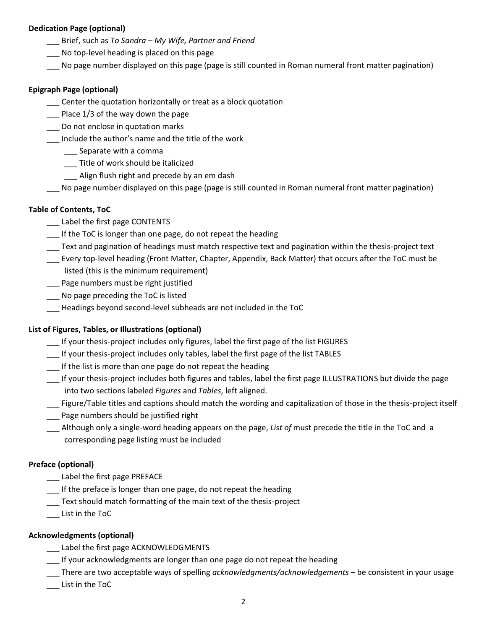# **Dedication Page (optional)**

- \_\_\_ Brief, such as *To Sandra – My Wife, Partner and Friend*
- No top-level heading is placed on this page
- No page number displayed on this page (page is still counted in Roman numeral front matter pagination)

### **Epigraph Page (optional)**

- \_\_\_ Center the quotation horizontally or treat as a block quotation
- Place 1/3 of the way down the page
- \_\_\_ Do not enclose in quotation marks
- \_\_\_ Include the author's name and the title of the work
	- \_\_\_ Separate with a comma
	- \_\_\_ Title of work should be italicized
	- Align flush right and precede by an em dash
- \_\_\_ No page number displayed on this page (page is still counted in Roman numeral front matter pagination)

# **Table of Contents, ToC**

- \_\_\_ Label the first page CONTENTS
- \_\_\_ If the ToC is longer than one page, do not repeat the heading
- \_\_\_ Text and pagination of headings must match respective text and pagination within the thesis-project text
- \_\_\_ Every top-level heading (Front Matter, Chapter, Appendix, Back Matter) that occurs after the ToC must be listed (this is the minimum requirement)
- \_\_\_ Page numbers must be right justified
- \_\_\_ No page preceding the ToC is listed
- \_\_\_ Headings beyond second-level subheads are not included in the ToC

### **List of Figures, Tables, or Illustrations (optional)**

- \_\_\_ If your thesis-project includes only figures, label the first page of the list FIGURES
- \_\_\_ If your thesis-project includes only tables, label the first page of the list TABLES
- \_\_\_ If the list is more than one page do not repeat the heading
- \_\_\_ If your thesis-project includes both figures and tables, label the first page ILLUSTRATIONS but divide the page into two sections labeled *Figures* and *Tables*, left aligned.
- Figure/Table titles and captions should match the wording and capitalization of those in the thesis-project itself
- \_\_\_ Page numbers should be justified right
- \_\_\_ Although only a single-word heading appears on the page, *List of* must precede the title in the ToC and a corresponding page listing must be included

### **Preface (optional)**

- \_\_\_ Label the first page PREFACE
- \_\_\_ If the preface is longer than one page, do not repeat the heading
- \_\_\_ Text should match formatting of the main text of the thesis-project
- \_\_\_ List in the ToC

### **Acknowledgments (optional)**

- \_\_\_ Label the first page ACKNOWLEDGMENTS
- \_\_\_ If your acknowledgments are longer than one page do not repeat the heading
- \_\_\_ There are two acceptable ways of spelling *acknowledgments/acknowledgements* be consistent in your usage
- \_\_\_ List in the ToC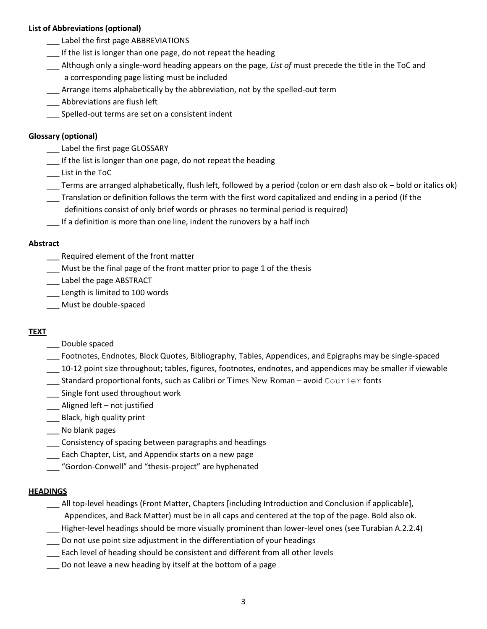# **List of Abbreviations (optional)**

- \_\_\_ Label the first page ABBREVIATIONS
- If the list is longer than one page, do not repeat the heading
- \_\_\_ Although only a single-word heading appears on the page, *List of* must precede the title in the ToC and a corresponding page listing must be included
- \_\_\_ Arrange items alphabetically by the abbreviation, not by the spelled-out term
- \_\_\_ Abbreviations are flush left
- Spelled-out terms are set on a consistent indent

# **Glossary (optional)**

- \_\_\_ Label the first page GLOSSARY
- \_\_\_ If the list is longer than one page, do not repeat the heading
- \_\_\_ List in the ToC
- \_\_\_ Terms are arranged alphabetically, flush left, followed by a period (colon or em dash also ok bold or italics ok)
- \_\_\_ Translation or definition follows the term with the first word capitalized and ending in a period (If the
- definitions consist of only brief words or phrases no terminal period is required)
- \_\_\_ If a definition is more than one line, indent the runovers by a half inch

### **Abstract**

- \_\_\_ Required element of the front matter
- \_\_\_ Must be the final page of the front matter prior to page 1 of the thesis
- \_\_\_ Label the page ABSTRACT
- Length is limited to 100 words
- \_\_\_ Must be double-spaced

# **TEXT**

- \_\_\_ Double spaced
- \_\_\_ Footnotes, Endnotes, Block Quotes, Bibliography, Tables, Appendices, and Epigraphs may be single-spaced
- \_\_\_ 10-12 point size throughout; tables, figures, footnotes, endnotes, and appendices may be smaller if viewable
- \_\_\_ Standard proportional fonts, such as Calibri or Times New Roman avoid Courier fonts
- \_\_\_ Single font used throughout work
- \_\_\_ Aligned left not justified
- \_\_\_ Black, high quality print
- \_\_\_ No blank pages
- \_\_\_ Consistency of spacing between paragraphs and headings
- \_\_\_ Each Chapter, List, and Appendix starts on a new page
- \_\_\_ "Gordon-Conwell" and "thesis-project" are hyphenated

### **HEADINGS**

- \_\_\_ All top-level headings (Front Matter, Chapters [including Introduction and Conclusion if applicable], Appendices, and Back Matter) must be in all caps and centered at the top of the page. Bold also ok.
- \_\_\_ Higher-level headings should be more visually prominent than lower-level ones (see Turabian A.2.2.4)
- \_\_\_ Do not use point size adjustment in the differentiation of your headings
- \_\_\_ Each level of heading should be consistent and different from all other levels
- \_\_\_ Do not leave a new heading by itself at the bottom of a page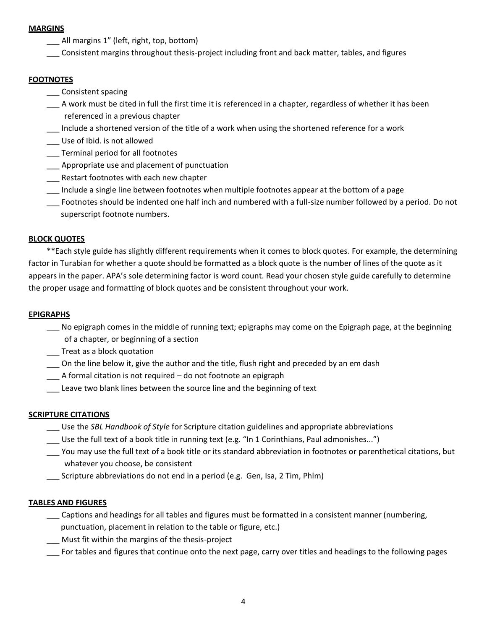# **MARGINS**

- \_\_\_ All margins 1" (left, right, top, bottom)
- \_\_\_ Consistent margins throughout thesis-project including front and back matter, tables, and figures

# **FOOTNOTES**

- \_\_\_ Consistent spacing
- \_\_\_ A work must be cited in full the first time it is referenced in a chapter, regardless of whether it has been referenced in a previous chapter
- \_\_\_ Include a shortened version of the title of a work when using the shortened reference for a work
- \_\_\_ Use of Ibid. is not allowed
- \_\_\_ Terminal period for all footnotes
- \_\_\_ Appropriate use and placement of punctuation
- \_\_\_ Restart footnotes with each new chapter
- \_\_\_ Include a single line between footnotes when multiple footnotes appear at the bottom of a page
- \_\_\_ Footnotes should be indented one half inch and numbered with a full-size number followed by a period. Do not superscript footnote numbers.

# **BLOCK QUOTES**

\*\*Each style guide has slightly different requirements when it comes to block quotes. For example, the determining factor in Turabian for whether a quote should be formatted as a block quote is the number of lines of the quote as it appears in the paper. APA's sole determining factor is word count. Read your chosen style guide carefully to determine the proper usage and formatting of block quotes and be consistent throughout your work.

# **EPIGRAPHS**

- No epigraph comes in the middle of running text; epigraphs may come on the Epigraph page, at the beginning of a chapter, or beginning of a section
- \_\_\_ Treat as a block quotation
- \_\_\_ On the line below it, give the author and the title, flush right and preceded by an em dash
- \_\_\_ A formal citation is not required do not footnote an epigraph
- \_\_\_ Leave two blank lines between the source line and the beginning of text

### **SCRIPTURE CITATIONS**

- \_\_\_ Use the *SBL Handbook of Style* for Scripture citation guidelines and appropriate abbreviations
- \_\_\_ Use the full text of a book title in running text (e.g. "In 1 Corinthians, Paul admonishes...")
- You may use the full text of a book title or its standard abbreviation in footnotes or parenthetical citations, but whatever you choose, be consistent
- \_\_\_ Scripture abbreviations do not end in a period (e.g. Gen, Isa, 2 Tim, Phlm)

### **TABLES AND FIGURES**

- \_\_\_ Captions and headings for all tables and figures must be formatted in a consistent manner (numbering, punctuation, placement in relation to the table or figure, etc.)
- \_\_\_ Must fit within the margins of the thesis-project
- \_\_\_ For tables and figures that continue onto the next page, carry over titles and headings to the following pages